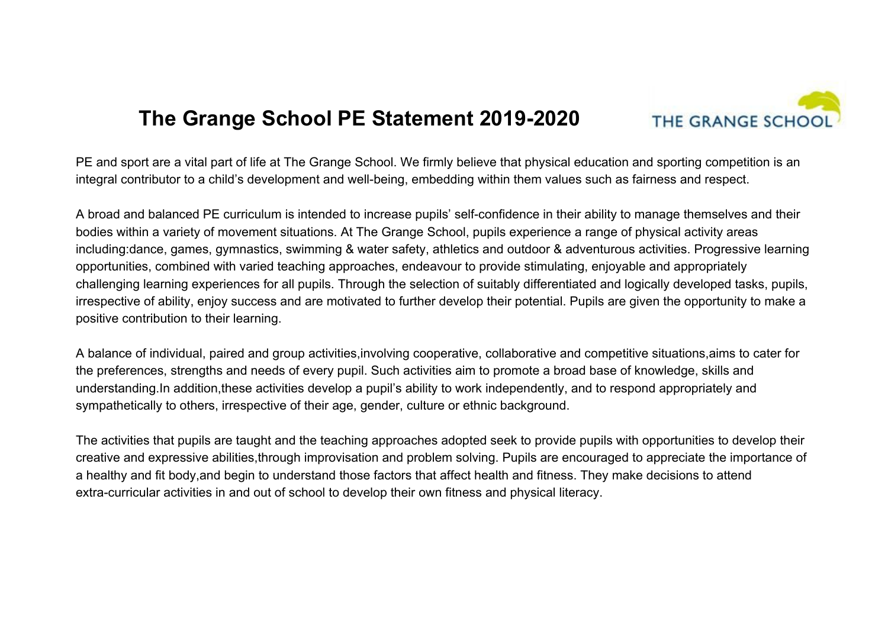## **The Grange School PE Statement 2019-2020**



PE and sport are a vital part of life at The Grange School. We firmly believe that physical education and sporting competition is an integral contributor to a child's development and well-being, embedding within them values such as fairness and respect.

A broad and balanced PE curriculum is intended to increase pupils' self-confidence in their ability to manage themselves and their bodies within a variety of movement situations. At The Grange School, pupils experience a range of physical activity areas including:dance, games, gymnastics, swimming & water safety, athletics and outdoor & adventurous activities. Progressive learning opportunities, combined with varied teaching approaches, endeavour to provide stimulating, enjoyable and appropriately challenging learning experiences for all pupils. Through the selection of suitably differentiated and logically developed tasks, pupils, irrespective of ability, enjoy success and are motivated to further develop their potential. Pupils are given the opportunity to make a positive contribution to their learning.

A balance of individual, paired and group activities,involving cooperative, collaborative and competitive situations,aims to cater for the preferences, strengths and needs of every pupil. Such activities aim to promote a broad base of knowledge, skills and understanding.In addition,these activities develop a pupil's ability to work independently, and to respond appropriately and sympathetically to others, irrespective of their age, gender, culture or ethnic background.

The activities that pupils are taught and the teaching approaches adopted seek to provide pupils with opportunities to develop their creative and expressive abilities,through improvisation and problem solving. Pupils are encouraged to appreciate the importance of a healthy and fit body,and begin to understand those factors that affect health and fitness. They make decisions to attend extra-curricular activities in and out of school to develop their own fitness and physical literacy.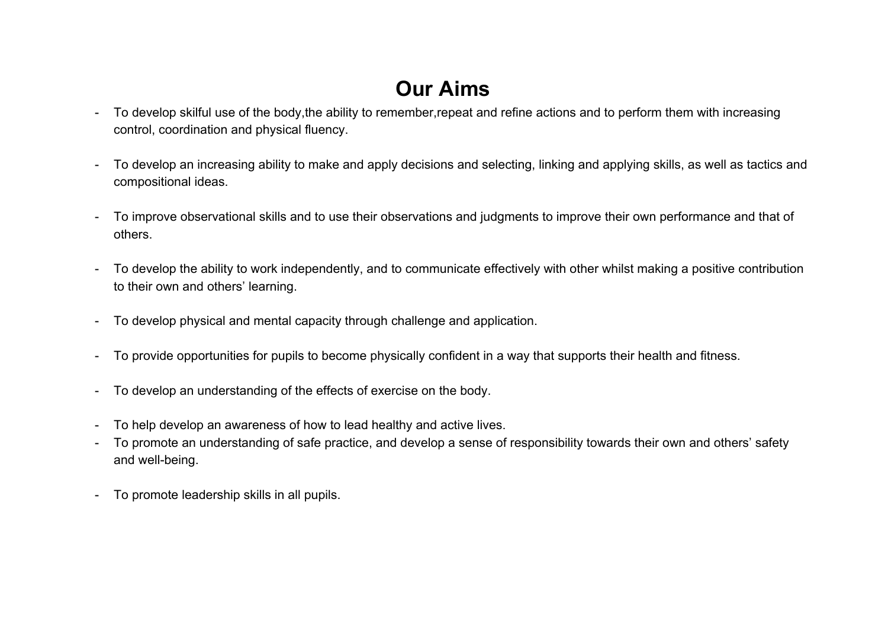## **Our Aims**

- To develop skilful use of the body, the ability to remember, repeat and refine actions and to perform them with increasing control, coordination and physical fluency.
- To develop an increasing ability to make and apply decisions and selecting, linking and applying skills, as well as tactics and compositional ideas.
- To improve observational skills and to use their observations and judgments to improve their own performance and that of others.
- To develop the ability to work independently, and to communicate effectively with other whilst making a positive contribution to their own and others' learning.
- To develop physical and mental capacity through challenge and application.
- To provide opportunities for pupils to become physically confident in a way that supports their health and fitness.
- To develop an understanding of the effects of exercise on the body.
- To help develop an awareness of how to lead healthy and active lives.
- To promote an understanding of safe practice, and develop a sense of responsibility towards their own and others' safety and well-being.
- To promote leadership skills in all pupils.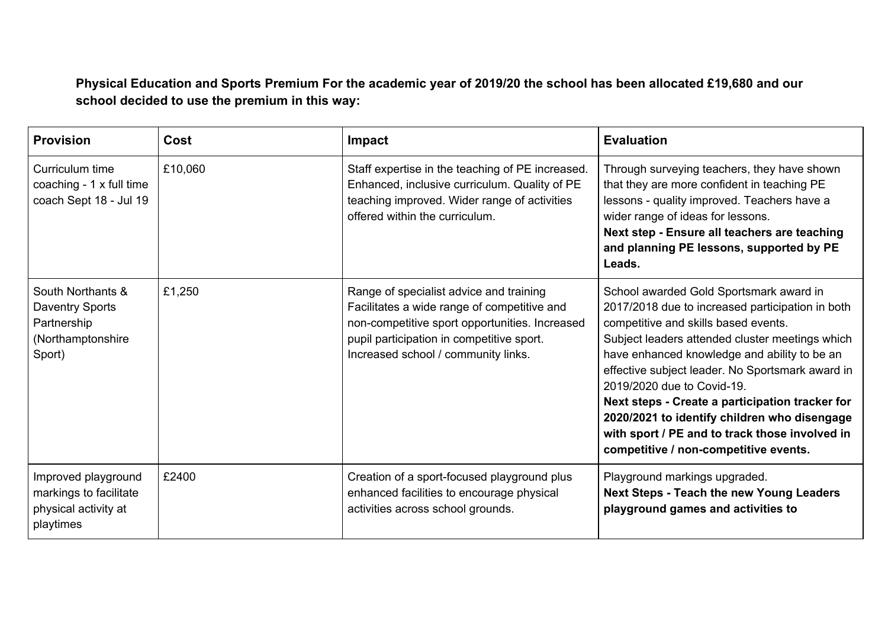**Physical Education and Sports Premium For the academic year of 2019/20 the school has been allocated £19,680 and our school decided to use the premium in this way:**

| <b>Provision</b>                                                                          | Cost    | <b>Impact</b>                                                                                                                                                                                                                | <b>Evaluation</b>                                                                                                                                                                                                                                                                                                                                                                                                                                                                                                      |
|-------------------------------------------------------------------------------------------|---------|------------------------------------------------------------------------------------------------------------------------------------------------------------------------------------------------------------------------------|------------------------------------------------------------------------------------------------------------------------------------------------------------------------------------------------------------------------------------------------------------------------------------------------------------------------------------------------------------------------------------------------------------------------------------------------------------------------------------------------------------------------|
| Curriculum time<br>coaching - 1 x full time<br>coach Sept 18 - Jul 19                     | £10,060 | Staff expertise in the teaching of PE increased.<br>Enhanced, inclusive curriculum. Quality of PE<br>teaching improved. Wider range of activities<br>offered within the curriculum.                                          | Through surveying teachers, they have shown<br>that they are more confident in teaching PE<br>lessons - quality improved. Teachers have a<br>wider range of ideas for lessons.<br>Next step - Ensure all teachers are teaching<br>and planning PE lessons, supported by PE<br>Leads.                                                                                                                                                                                                                                   |
| South Northants &<br><b>Daventry Sports</b><br>Partnership<br>(Northamptonshire<br>Sport) | £1,250  | Range of specialist advice and training<br>Facilitates a wide range of competitive and<br>non-competitive sport opportunities. Increased<br>pupil participation in competitive sport.<br>Increased school / community links. | School awarded Gold Sportsmark award in<br>2017/2018 due to increased participation in both<br>competitive and skills based events.<br>Subject leaders attended cluster meetings which<br>have enhanced knowledge and ability to be an<br>effective subject leader. No Sportsmark award in<br>2019/2020 due to Covid-19.<br>Next steps - Create a participation tracker for<br>2020/2021 to identify children who disengage<br>with sport / PE and to track those involved in<br>competitive / non-competitive events. |
| Improved playground<br>markings to facilitate<br>physical activity at<br>playtimes        | £2400   | Creation of a sport-focused playground plus<br>enhanced facilities to encourage physical<br>activities across school grounds.                                                                                                | Playground markings upgraded.<br><b>Next Steps - Teach the new Young Leaders</b><br>playground games and activities to                                                                                                                                                                                                                                                                                                                                                                                                 |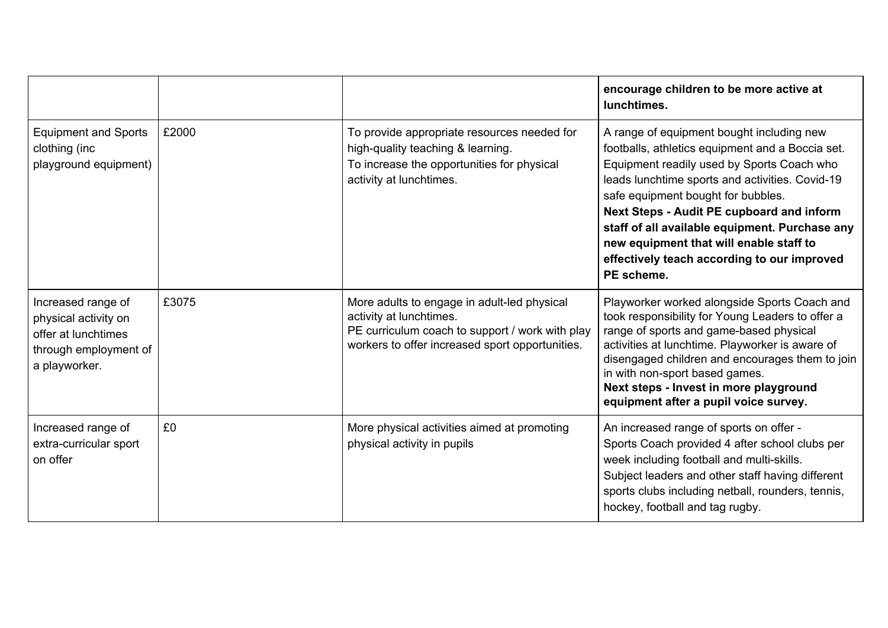|                                                                                                             |       |                                                                                                                                                                              | encourage children to be more active at<br>lunchtimes.                                                                                                                                                                                                                                                                                                                                                                                      |
|-------------------------------------------------------------------------------------------------------------|-------|------------------------------------------------------------------------------------------------------------------------------------------------------------------------------|---------------------------------------------------------------------------------------------------------------------------------------------------------------------------------------------------------------------------------------------------------------------------------------------------------------------------------------------------------------------------------------------------------------------------------------------|
| <b>Equipment and Sports</b><br>clothing (inc<br>playground equipment)                                       | £2000 | To provide appropriate resources needed for<br>high-quality teaching & learning.<br>To increase the opportunities for physical<br>activity at lunchtimes.                    | A range of equipment bought including new<br>footballs, athletics equipment and a Boccia set.<br>Equipment readily used by Sports Coach who<br>leads lunchtime sports and activities. Covid-19<br>safe equipment bought for bubbles.<br>Next Steps - Audit PE cupboard and inform<br>staff of all available equipment. Purchase any<br>new equipment that will enable staff to<br>effectively teach according to our improved<br>PE scheme. |
| Increased range of<br>physical activity on<br>offer at lunchtimes<br>through employment of<br>a playworker. | £3075 | More adults to engage in adult-led physical<br>activity at lunchtimes.<br>PE curriculum coach to support / work with play<br>workers to offer increased sport opportunities. | Playworker worked alongside Sports Coach and<br>took responsibility for Young Leaders to offer a<br>range of sports and game-based physical<br>activities at lunchtime. Playworker is aware of<br>disengaged children and encourages them to join<br>in with non-sport based games.<br>Next steps - Invest in more playground<br>equipment after a pupil voice survey.                                                                      |
| Increased range of<br>extra-curricular sport<br>on offer                                                    | £0    | More physical activities aimed at promoting<br>physical activity in pupils                                                                                                   | An increased range of sports on offer -<br>Sports Coach provided 4 after school clubs per<br>week including football and multi-skills.<br>Subject leaders and other staff having different<br>sports clubs including netball, rounders, tennis,<br>hockey, football and tag rugby.                                                                                                                                                          |